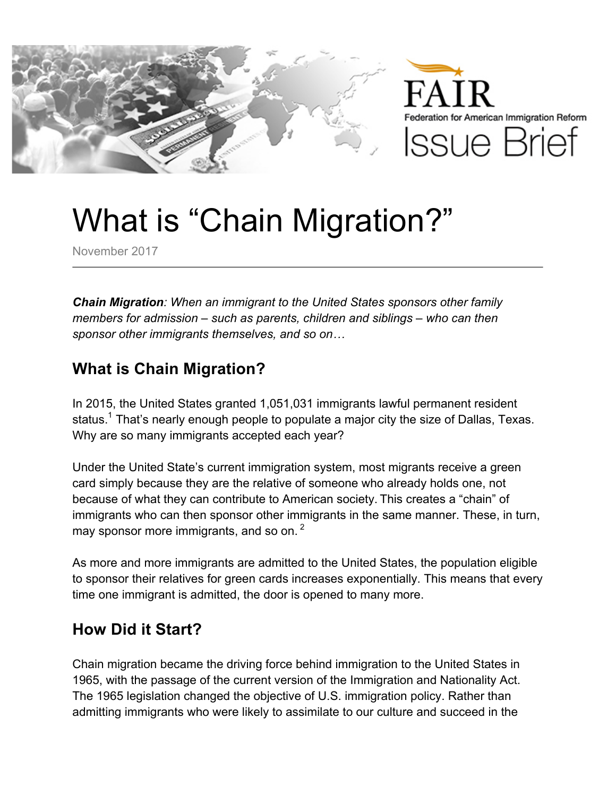



# What is "Chain Migration?"

November 2017

*Chain Migration: When an immigrant to the United States sponsors other family members for admission – such as parents, children and siblings – who can then sponsor other immigrants themselves, and so on…*

#### **What is Chain Migration?**

In 2015, the United States granted 1,051,031 immigrants lawful permanent resident status.<sup>1</sup> That's nearly enough people to populate a major city the size of Dallas, Texas. Why are so many immigrants accepted each year?

Under the United State's current immigration system, most migrants receive a green card simply because they are the relative of someone who already holds one, not because of what they can contribute to American society. This creates a "chain" of immigrants who can then sponsor other immigrants in the same manner. These, in turn, may sponsor more immigrants, and so on.<sup>2</sup>

As more and more immigrants are admitted to the United States, the population eligible to sponsor their relatives for green cards increases exponentially. This means that every time one immigrant is admitted, the door is opened to many more.

### **How Did it Start?**

Chain migration became the driving force behind immigration to the United States in 1965, with the passage of the current version of the Immigration and Nationality Act. The 1965 legislation changed the objective of U.S. immigration policy. Rather than admitting immigrants who were likely to assimilate to our culture and succeed in the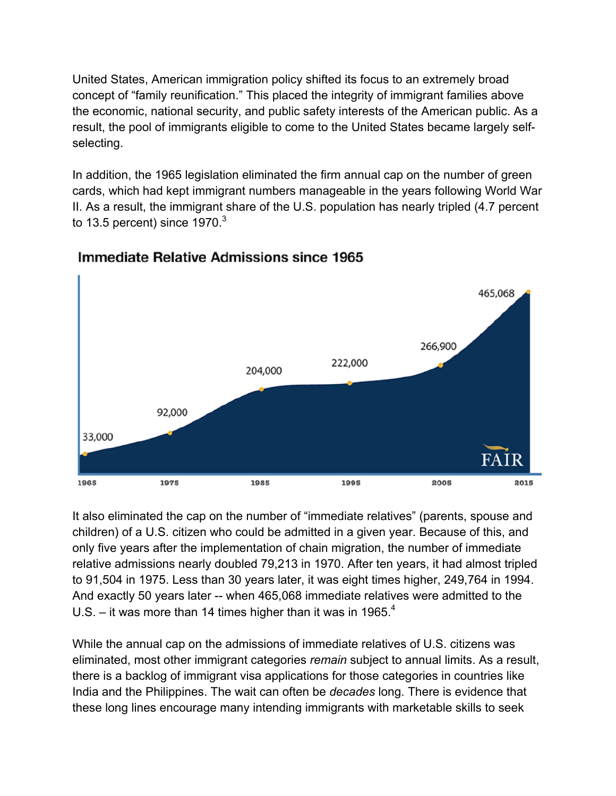United States, American immigration policy shifted its focus to an extremely broad concept of "family reunification." This placed the integrity of immigrant families above the economic, national security, and public safety interests of the American public. As a result, the pool of immigrants eligible to come to the United States became largely selfselecting.

In addition, the 1965 legislation eliminated the firm annual cap on the number of green cards, which had kept immigrant numbers manageable in the years following World War II. As a result, the immigrant share of the U.S. population has nearly tripled (4.7 percent to 13.5 percent) since  $1970<sup>3</sup>$ 



#### Immediate Relative Admissions since 1965

It also eliminated the cap on the number of "immediate relatives" (parents, spouse and children) of a U.S. citizen who could be admitted in a given year. Because of this, and only five years after the implementation of chain migration, the number of immediate relative admissions nearly doubled 79,213 in 1970. After ten years, it had almost tripled to 91,504 in 1975. Less than 30 years later, it was eight times higher, 249,764 in 1994. And exactly 50 years later -- when 465,068 immediate relatives were admitted to the U.S. – it was more than 14 times higher than it was in 1965. $4$ 

While the annual cap on the admissions of immediate relatives of U.S. citizens was eliminated, most other immigrant categories *remain* subject to annual limits. As a result, there is a backlog of immigrant visa applications for those categories in countries like India and the Philippines. The wait can often be *decades* long. There is evidence that these long lines encourage many intending immigrants with marketable skills to seek